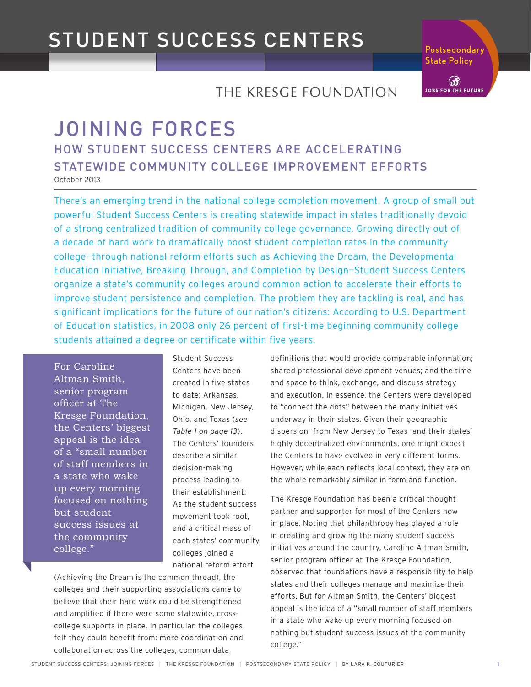Postsecondarv<sup>1</sup> **State Policy** 

கி **JOBS FOR THE FUTURE** 

### THE KRESGE FOUNDATION

### JOINING FORCES HOW STUDENT SUCCESS CENTERS ARE ACCELERATING STATEWIDE COMMUNITY COLLEGE IMPROVEMENT EFFORTS October 2013

There's an emerging trend in the national college completion movement. A group of small but powerful Student Success Centers is creating statewide impact in states traditionally devoid of a strong centralized tradition of community college governance. Growing directly out of a decade of hard work to dramatically boost student completion rates in the community college—through national reform efforts such as Achieving the Dream, the Developmental Education Initiative, Breaking Through, and Completion by Design—Student Success Centers organize a state's community colleges around common action to accelerate their efforts to improve student persistence and completion. The problem they are tackling is real, and has significant implications for the future of our nation's citizens: According to U.S. Department of Education statistics, in 2008 only 26 percent of first-time beginning community college students attained a degree or certificate within five years.

For Caroline Altman Smith, senior program officer at The Kresge Foundation, the Centers' biggest appeal is the idea of a "small number of staff members in a state who wake up every morning focused on nothing but student success issues at the community college."

Student Success Centers have been created in five states to date: Arkansas, Michigan, New Jersey, Ohio, and Texas (*see Table 1 on page 13*). The Centers' founders describe a similar decision-making process leading to their establishment: As the student success movement took root, and a critical mass of each states' community colleges joined a national reform effort

(Achieving the Dream is the common thread), the colleges and their supporting associations came to believe that their hard work could be strengthened and amplified if there were some statewide, crosscollege supports in place. In particular, the colleges felt they could benefit from: more coordination and collaboration across the colleges; common data

definitions that would provide comparable information; shared professional development venues; and the time and space to think, exchange, and discuss strategy and execution. In essence, the Centers were developed to "connect the dots" between the many initiatives underway in their states. Given their geographic dispersion—from New Jersey to Texas—and their states' highly decentralized environments, one might expect the Centers to have evolved in very different forms. However, while each reflects local context, they are on the whole remarkably similar in form and function.

The Kresge Foundation has been a critical thought partner and supporter for most of the Centers now in place. Noting that philanthropy has played a role in creating and growing the many student success initiatives around the country, Caroline Altman Smith, senior program officer at The Kresge Foundation, observed that foundations have a responsibility to help states and their colleges manage and maximize their efforts. But for Altman Smith, the Centers' biggest appeal is the idea of a "small number of staff members in a state who wake up every morning focused on nothing but student success issues at the community college."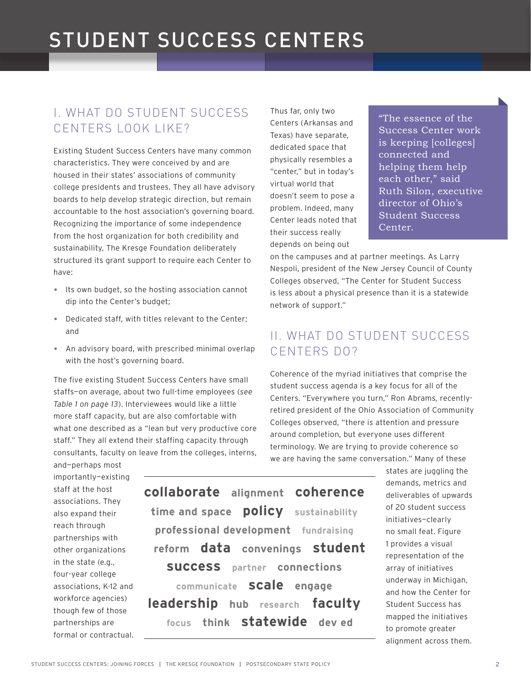### I. WHAT DO STUDENT SUCCESS CENTERS LOOK LIKE?

Existing Student Success Centers have many common characteristics. They were conceived by and are housed in their states' associations of community college presidents and trustees. They all have advisory boards to help develop strategic direction, but remain accountable to the host association's governing board. Recognizing the importance of some independence from the host organization for both credibility and sustainability, The Kresge Foundation deliberately structured its grant support to require each Center to have:

- Its own budget, so the hosting association cannot dip into the Center's budget;
- Dedicated staff, with titles relevant to the Center; and
- An advisory board, with prescribed minimal overlap with the host's governing board.

The five existing Student Success Centers have small staffs—on average, about two full-time employees (*see Table 1 on page 13*). Interviewees would like a little more staff capacity, but are also comfortable with what one described as a "lean but very productive core staff." They all extend their staffing capacity through consultants, faculty on leave from the colleges, interns, Thus far, only two Centers (Arkansas and Texas) have separate, dedicated space that physically resembles a "center," but in today's virtual world that doesn't seem to pose a problem. Indeed, many Center leads noted that their success really depends on being out

"The essence of the Success Center work is keeping [colleges] connected and helping them help each other," said Ruth Silon, executive director of Ohio's Student Success Center.

on the campuses and at partner meetings. As Larry Nespoli, president of the New Jersey Council of County Colleges observed, "The Center for Student Success is less about a physical presence than it is a statewide network of support."

### II. WHAT DO STUDENT SUCCESS CENTERS DO?

Coherence of the myriad initiatives that comprise the student success agenda is a key focus for all of the Centers. "Everywhere you turn," Ron Abrams, recentlyretired president of the Ohio Association of Community Colleges observed, "there is attention and pressure around completion, but everyone uses different terminology. We are trying to provide coherence so we are having the same conversation." Many of these

and—perhaps most importantly—existing staff at the host associations. They also expand their reach through partnerships with other organizations in the state (e.g., four-year college associations, K-12 and workforce agencies) though few of those partnerships are formal or contractual.

**collaborate**\_\_\_**alignment**\_\_\_**coherence**\_\_\_ **time and space**\_\_\_**policy**\_\_\_**sustainability**\_\_\_ **professional development**\_\_\_**fundraising**\_\_\_ **reform**\_\_\_**data**\_\_\_**convenings**\_\_\_**student success**\_\_\_**partner**\_\_\_**connections**\_\_\_ **communicate**\_\_\_**scale**\_\_\_**engage**\_\_\_ **leadership**\_\_\_**hub**\_\_\_**research**\_\_\_ **faculty**\_\_\_ **focus**\_\_\_**think**\_\_\_**statewide**\_\_\_**dev ed**

states are juggling the demands, metrics and deliverables of upwards of 20 student success initiatives—clearly no small feat. Figure 1 provides a visual representation of the array of initiatives underway in Michigan, and how the Center for Student Success has mapped the initiatives to promote greater alignment across them.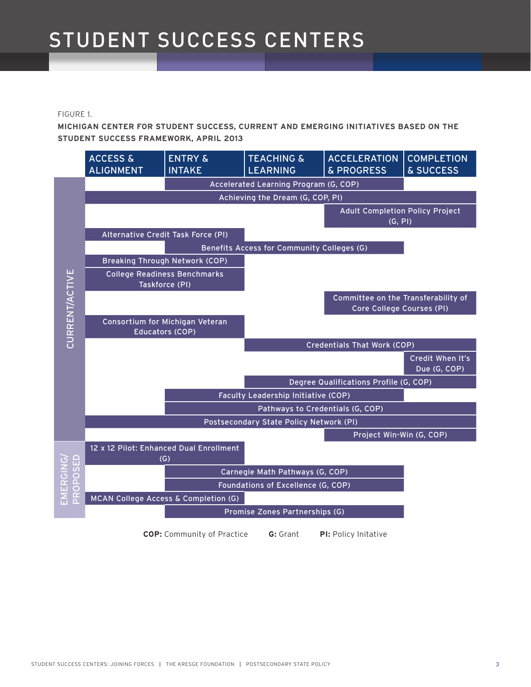#### FIGURE 1.

**MICHIGAN CENTER FOR STUDENT SUCCESS, CURRENT AND EMERGING INITIATIVES BASED ON THE STUDENT SUCCESS FRAMEWORK, APRIL 2013**



**COP:** Community of Practice\_\_\_\_\_**G:** Grant\_\_\_\_\_**PI:** Policy Initative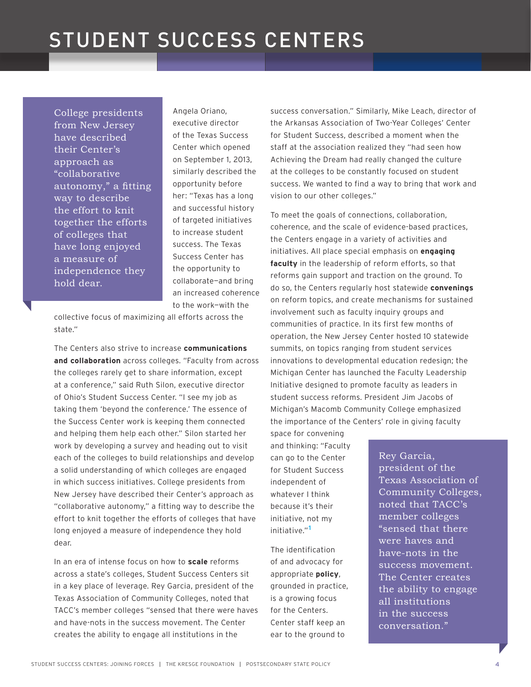College presidents from New Jersey have described their Center's approach as "collaborative autonomy," a fitting way to describe the effort to knit together the efforts of colleges that have long enjoyed a measure of independence they hold dear.

Angela Oriano, executive director of the Texas Success Center which opened on September 1, 2013, similarly described the opportunity before her: "Texas has a long and successful history of targeted initiatives to increase student success. The Texas Success Center has the opportunity to collaborate—and bring an increased coherence to the work—with the

collective focus of maximizing all efforts across the state."

The Centers also strive to increase **communications and collaboration** across colleges. "Faculty from across the colleges rarely get to share information, except at a conference," said Ruth Silon, executive director of Ohio's Student Success Center. "I see my job as taking them 'beyond the conference.' The essence of the Success Center work is keeping them connected and helping them help each other." Silon started her work by developing a survey and heading out to visit each of the colleges to build relationships and develop a solid understanding of which colleges are engaged in which success initiatives. College presidents from New Jersey have described their Center's approach as "collaborative autonomy," a fitting way to describe the effort to knit together the efforts of colleges that have long enjoyed a measure of independence they hold dear.

In an era of intense focus on how to **scale** reforms across a state's colleges, Student Success Centers sit in a key place of leverage. Rey Garcia, president of the Texas Association of Community Colleges, noted that TACC's member colleges "sensed that there were haves and have-nots in the success movement. The Center creates the ability to engage all institutions in the

success conversation." Similarly, Mike Leach, director of the Arkansas Association of Two-Year Colleges' Center for Student Success, described a moment when the staff at the association realized they "had seen how Achieving the Dream had really changed the culture at the colleges to be constantly focused on student success. We wanted to find a way to bring that work and vision to our other colleges."

To meet the goals of connections, collaboration, coherence, and the scale of evidence-based practices, the Centers engage in a variety of activities and initiatives. All place special emphasis on **engaging faculty** in the leadership of reform efforts, so that reforms gain support and traction on the ground. To do so, the Centers regularly host statewide **convenings** on reform topics, and create mechanisms for sustained involvement such as faculty inquiry groups and communities of practice. In its first few months of operation, the New Jersey Center hosted 10 statewide summits, on topics ranging from student services innovations to developmental education redesign; the Michigan Center has launched the Faculty Leadership Initiative designed to promote faculty as leaders in student success reforms. President Jim Jacobs of Michigan's Macomb Community College emphasized the importance of the Centers' role in giving faculty

space for convening and thinking: "Faculty can go to the Center for Student Success independent of whatever I think because it's their initiative, not my initiative."**<sup>1</sup>**

The identification of and advocacy for appropriate **policy**, grounded in practice, is a growing focus for the Centers. Center staff keep an ear to the ground to

Rey Garcia, president of the Texas Association of Community Colleges, noted that TACC's member colleges "sensed that there were haves and have-nots in the success movement. The Center creates the ability to engage all institutions in the success conversation."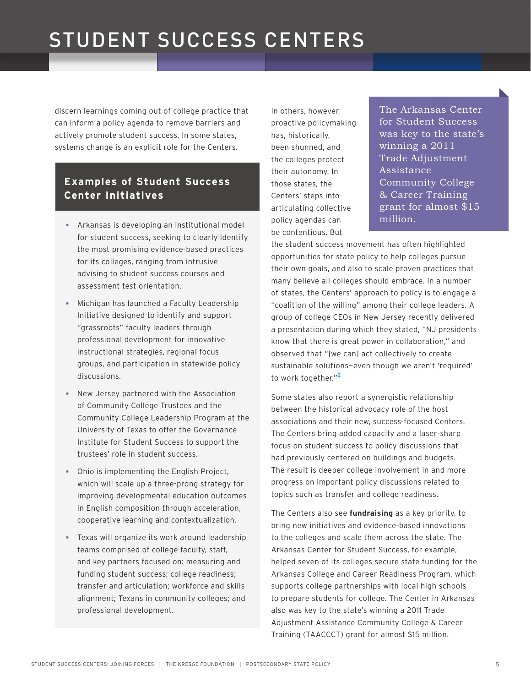discern learnings coming out of college practice that can inform a policy agenda to remove barriers and actively promote student success. In some states, systems change is an explicit role for the Centers.

#### **Examples of Student Success Center Initiatives**

- million. Arkansas is developing an institutional model for student success, seeking to clearly identify the most promising evidence-based practices for its colleges, ranging from intrusive advising to student success courses and assessment test orientation.
- Michigan has launched a Faculty Leadership Initiative designed to identify and support "grassroots" faculty leaders through professional development for innovative instructional strategies, regional focus groups, and participation in statewide policy discussions.
- New Jersey partnered with the Association of Community College Trustees and the Community College Leadership Program at the University of Texas to offer the Governance Institute for Student Success to support the trustees' role in student success.
- Ohio is implementing the English Project, which will scale up a three-prong strategy for improving developmental education outcomes in English composition through acceleration, cooperative learning and contextualization.
- Texas will organize its work around leadership teams comprised of college faculty, staff, and key partners focused on: measuring and funding student success; college readiness; transfer and articulation; workforce and skills alignment; Texans in community colleges; and professional development.

In others, however, proactive policymaking has, historically, been shunned, and the colleges protect their autonomy. In those states, the Centers' steps into articulating collective policy agendas can be contentious. But

The Arkansas Center for Student Success was key to the state's winning a 2011 Trade Adjustment Assistance Community College & Career Training grant for almost \$15

the student success movement has often highlighted opportunities for state policy to help colleges pursue their own goals, and also to scale proven practices that many believe all colleges should embrace. In a number of states, the Centers' approach to policy is to engage a "coalition of the willing" among their college leaders. A group of college CEOs in New Jersey recently delivered a presentation during which they stated, "NJ presidents know that there is great power in collaboration," and observed that "[we can] act collectively to create sustainable solutions—even though we aren't 'required' to work together."**<sup>2</sup>**

Some states also report a synergistic relationship between the historical advocacy role of the host associations and their new, success-focused Centers. The Centers bring added capacity and a laser-sharp focus on student success to policy discussions that had previously centered on buildings and budgets. The result is deeper college involvement in and more progress on important policy discussions related to topics such as transfer and college readiness.

The Centers also see **fundraising** as a key priority, to bring new initiatives and evidence-based innovations to the colleges and scale them across the state. The Arkansas Center for Student Success, for example, helped seven of its colleges secure state funding for the Arkansas College and Career Readiness Program, which supports college partnerships with local high schools to prepare students for college. The Center in Arkansas also was key to the state's winning a 2011 Trade Adjustment Assistance Community College & Career Training (TAACCCT) grant for almost \$15 million.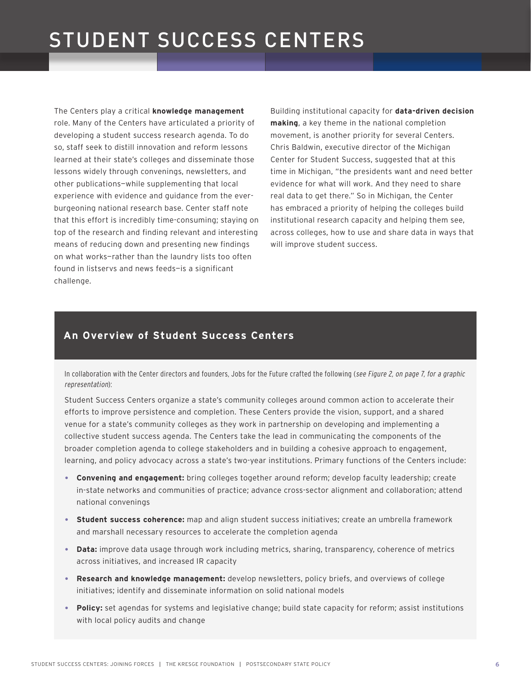The Centers play a critical **knowledge management** role. Many of the Centers have articulated a priority of developing a student success research agenda. To do so, staff seek to distill innovation and reform lessons learned at their state's colleges and disseminate those lessons widely through convenings, newsletters, and other publications—while supplementing that local experience with evidence and guidance from the everburgeoning national research base. Center staff note that this effort is incredibly time-consuming; staying on top of the research and finding relevant and interesting means of reducing down and presenting new findings on what works—rather than the laundry lists too often found in listservs and news feeds—is a significant challenge.

Building institutional capacity for **data-driven decision making**, a key theme in the national completion movement, is another priority for several Centers. Chris Baldwin, executive director of the Michigan Center for Student Success, suggested that at this time in Michigan, "the presidents want and need better evidence for what will work. And they need to share real data to get there." So in Michigan, the Center has embraced a priority of helping the colleges build institutional research capacity and helping them see, across colleges, how to use and share data in ways that will improve student success.

#### **An Overview of Student Success Centers**

In collaboration with the Center directors and founders, Jobs for the Future crafted the following (see Figure 2, on page 7, for a graphic representation):

Student Success Centers organize a state's community colleges around common action to accelerate their efforts to improve persistence and completion. These Centers provide the vision, support, and a shared venue for a state's community colleges as they work in partnership on developing and implementing a collective student success agenda. The Centers take the lead in communicating the components of the broader completion agenda to college stakeholders and in building a cohesive approach to engagement, learning, and policy advocacy across a state's two-year institutions. Primary functions of the Centers include:

- **Convening and engagement:** bring colleges together around reform; develop faculty leadership; create in-state networks and communities of practice; advance cross-sector alignment and collaboration; attend national convenings
- **Student success coherence:** map and align student success initiatives; create an umbrella framework and marshall necessary resources to accelerate the completion agenda
- **Data:** improve data usage through work including metrics, sharing, transparency, coherence of metrics across initiatives, and increased IR capacity
- **Research and knowledge management:** develop newsletters, policy briefs, and overviews of college initiatives; identify and disseminate information on solid national models
- **Policy:** set agendas for systems and legislative change; build state capacity for reform; assist institutions with local policy audits and change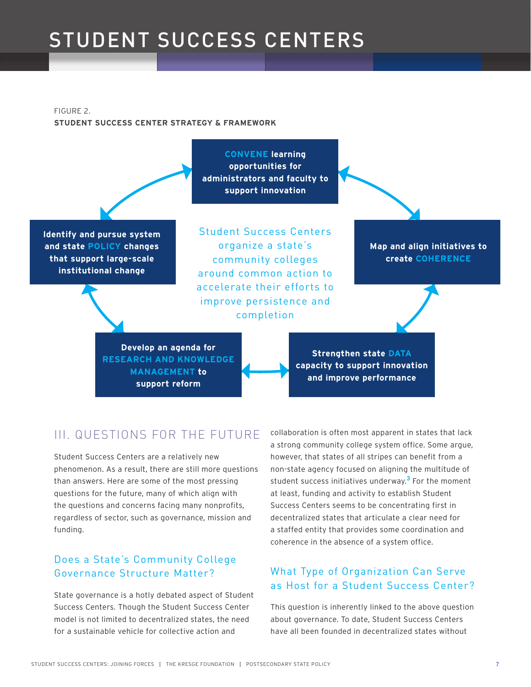FIGURE 2. **STUDENT SUCCESS CENTER STRATEGY & FRAMEWORK**

**Identify and pursue system and state POLICY changes that support large-scale institutional change**

**CONVENE learning opportunities for administrators and faculty to support innovation**

Student Success Centers organize a state's community colleges around common action to accelerate their efforts to improve persistence and completion

**Develop an agenda for RESEARCH AND KNOWLEDGE MANAGEMENT to support reform**

**Strengthen state DATA**

**Map and align initiatives to create COHERENCE**

**capacity to support innovation and improve performance**

### III. QUESTIONS FOR THE FUTURE

Student Success Centers are a relatively new phenomenon. As a result, there are still more questions than answers. Here are some of the most pressing questions for the future, many of which align with the questions and concerns facing many nonprofits, regardless of sector, such as governance, mission and funding.

#### Does a State's Community College Governance Structure Matter?

State governance is a hotly debated aspect of Student Success Centers. Though the Student Success Center model is not limited to decentralized states, the need for a sustainable vehicle for collective action and

collaboration is often most apparent in states that lack a strong community college system office. Some argue, however, that states of all stripes can benefit from a non-state agency focused on aligning the multitude of student success initiatives underway.**<sup>3</sup>** For the moment at least, funding and activity to establish Student Success Centers seems to be concentrating first in decentralized states that articulate a clear need for a staffed entity that provides some coordination and coherence in the absence of a system office.

#### What Type of Organization Can Serve as Host for a Student Success Center?

This question is inherently linked to the above question about governance. To date, Student Success Centers have all been founded in decentralized states without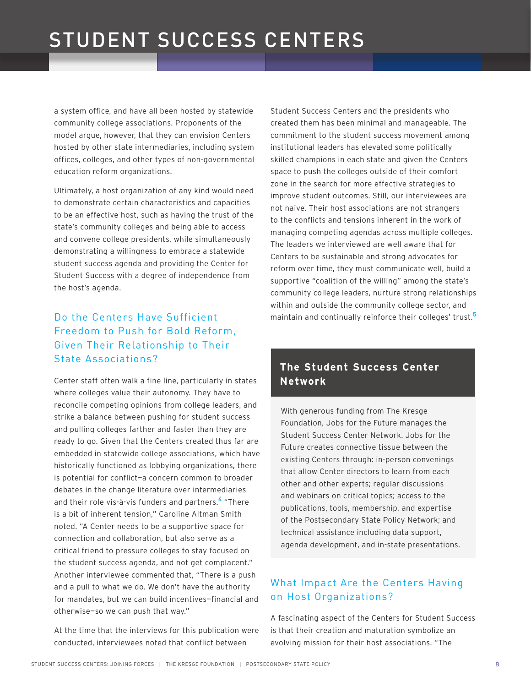a system office, and have all been hosted by statewide community college associations. Proponents of the model argue, however, that they can envision Centers hosted by other state intermediaries, including system offices, colleges, and other types of non-governmental education reform organizations.

Ultimately, a host organization of any kind would need to demonstrate certain characteristics and capacities to be an effective host, such as having the trust of the state's community colleges and being able to access and convene college presidents, while simultaneously demonstrating a willingness to embrace a statewide student success agenda and providing the Center for Student Success with a degree of independence from the host's agenda.

### Do the Centers Have Sufficient Freedom to Push for Bold Reform, Given Their Relationship to Their State Associations?

Center staff often walk a fine line, particularly in states where colleges value their autonomy. They have to reconcile competing opinions from college leaders, and strike a balance between pushing for student success and pulling colleges farther and faster than they are ready to go. Given that the Centers created thus far are embedded in statewide college associations, which have historically functioned as lobbying organizations, there is potential for conflict—a concern common to broader debates in the change literature over intermediaries and their role vis-à-vis funders and partners.**<sup>4</sup>** "There is a bit of inherent tension," Caroline Altman Smith noted. "A Center needs to be a supportive space for connection and collaboration, but also serve as a critical friend to pressure colleges to stay focused on the student success agenda, and not get complacent." Another interviewee commented that, "There is a push and a pull to what we do. We don't have the authority for mandates, but we can build incentives—financial and otherwise—so we can push that way."

At the time that the interviews for this publication were conducted, interviewees noted that conflict between

Student Success Centers and the presidents who created them has been minimal and manageable. The commitment to the student success movement among institutional leaders has elevated some politically skilled champions in each state and given the Centers space to push the colleges outside of their comfort zone in the search for more effective strategies to improve student outcomes. Still, our interviewees are not naive. Their host associations are not strangers to the conflicts and tensions inherent in the work of managing competing agendas across multiple colleges. The leaders we interviewed are well aware that for Centers to be sustainable and strong advocates for reform over time, they must communicate well, build a supportive "coalition of the willing" among the state's community college leaders, nurture strong relationships within and outside the community college sector, and maintain and continually reinforce their colleges' trust.**<sup>5</sup>**

#### **The Student Success Center Network**

With generous funding from The Kresge Foundation, Jobs for the Future manages the Student Success Center Network. Jobs for the Future creates connective tissue between the existing Centers through: in-person convenings that allow Center directors to learn from each other and other experts; regular discussions and webinars on critical topics; access to the publications, tools, membership, and expertise of the Postsecondary State Policy Network; and technical assistance including data support, agenda development, and in-state presentations.

#### What Impact Are the Centers Having on Host Organizations?

A fascinating aspect of the Centers for Student Success is that their creation and maturation symbolize an evolving mission for their host associations. "The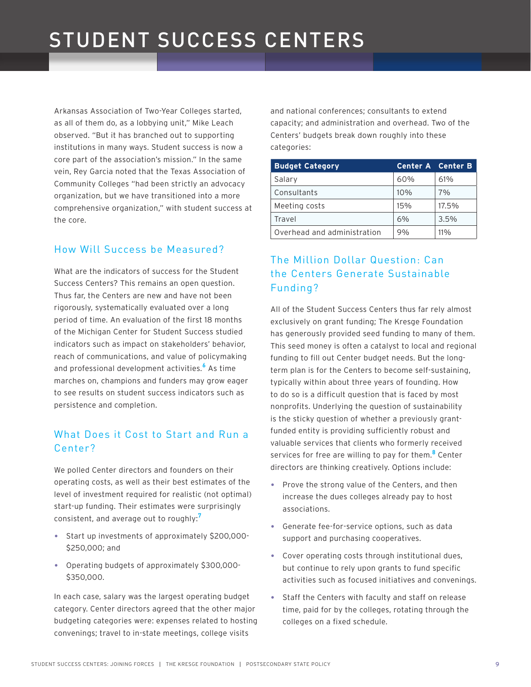Arkansas Association of Two-Year Colleges started, as all of them do, as a lobbying unit," Mike Leach observed. "But it has branched out to supporting institutions in many ways. Student success is now a core part of the association's mission." In the same vein, Rey Garcia noted that the Texas Association of Community Colleges "had been strictly an advocacy organization, but we have transitioned into a more comprehensive organization," with student success at the core.

#### How Will Success be Measured?

What are the indicators of success for the Student Success Centers? This remains an open question. Thus far, the Centers are new and have not been rigorously, systematically evaluated over a long period of time. An evaluation of the first 18 months of the Michigan Center for Student Success studied indicators such as impact on stakeholders' behavior, reach of communications, and value of policymaking and professional development activities.**<sup>6</sup>** As time marches on, champions and funders may grow eager to see results on student success indicators such as persistence and completion.

#### What Does it Cost to Start and Run a Center?

We polled Center directors and founders on their operating costs, as well as their best estimates of the level of investment required for realistic (not optimal) start-up funding. Their estimates were surprisingly consistent, and average out to roughly:**<sup>7</sup>**

- Start up investments of approximately \$200,000- \$250,000; and
- Operating budgets of approximately \$300,000- \$350,000.

In each case, salary was the largest operating budget category. Center directors agreed that the other major budgeting categories were: expenses related to hosting convenings; travel to in-state meetings, college visits

and national conferences; consultants to extend capacity; and administration and overhead. Two of the Centers' budgets break down roughly into these categories:

| <b>Budget Category</b>      | <b>Center A</b> Center B |        |
|-----------------------------|--------------------------|--------|
| Salary                      | 60%                      | 61%    |
| Consultants                 | 10%                      | 7%     |
| Meeting costs               | 15%                      | 17.5%  |
| Travel                      | 6%                       | 3.5%   |
| Overhead and administration | 9%                       | $11\%$ |

### The Million Dollar Question: Can the Centers Generate Sustainable Funding?

All of the Student Success Centers thus far rely almost exclusively on grant funding; The Kresge Foundation has generously provided seed funding to many of them. This seed money is often a catalyst to local and regional funding to fill out Center budget needs. But the longterm plan is for the Centers to become self-sustaining, typically within about three years of founding. How to do so is a difficult question that is faced by most nonprofits. Underlying the question of sustainability is the sticky question of whether a previously grantfunded entity is providing sufficiently robust and valuable services that clients who formerly received services for free are willing to pay for them.**<sup>8</sup>** Center directors are thinking creatively. Options include:

- Prove the strong value of the Centers, and then increase the dues colleges already pay to host associations.
- Generate fee-for-service options, such as data support and purchasing cooperatives.
- Cover operating costs through institutional dues, but continue to rely upon grants to fund specific activities such as focused initiatives and convenings.
- Staff the Centers with faculty and staff on release time, paid for by the colleges, rotating through the colleges on a fixed schedule.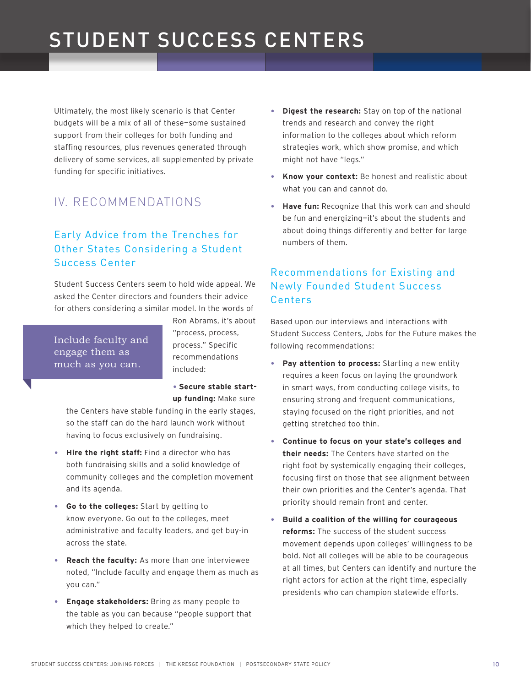Ultimately, the most likely scenario is that Center budgets will be a mix of all of these—some sustained support from their colleges for both funding and staffing resources, plus revenues generated through delivery of some services, all supplemented by private funding for specific initiatives.

### IV. RECOMMENDATIONS

#### Early Advice from the Trenches for Other States Considering a Student Success Center

Student Success Centers seem to hold wide appeal. We asked the Center directors and founders their advice for others considering a similar model. In the words of

Include faculty and engage them as much as you can.

Ron Abrams, it's about "process, process, process." Specific recommendations included:

• **Secure stable startup funding:** Make sure

the Centers have stable funding in the early stages, so the staff can do the hard launch work without having to focus exclusively on fundraising.

- **Hire the right staff:** Find a director who has both fundraising skills and a solid knowledge of community colleges and the completion movement and its agenda.
- **Go to the colleges:** Start by getting to know everyone. Go out to the colleges, meet administrative and faculty leaders, and get buy-in across the state.
- **Reach the faculty:** As more than one interviewee noted, "Include faculty and engage them as much as you can."
- **Engage stakeholders:** Bring as many people to the table as you can because "people support that which they helped to create."
- **Digest the research:** Stay on top of the national trends and research and convey the right information to the colleges about which reform strategies work, which show promise, and which might not have "legs."
- **Know your context:** Be honest and realistic about what you can and cannot do.
- **Have fun:** Recognize that this work can and should be fun and energizing—it's about the students and about doing things differently and better for large numbers of them.

#### Recommendations for Existing and Newly Founded Student Success Centers

Based upon our interviews and interactions with Student Success Centers, Jobs for the Future makes the following recommendations:

- **Pay attention to process:** Starting a new entity requires a keen focus on laying the groundwork in smart ways, from conducting college visits, to ensuring strong and frequent communications, staying focused on the right priorities, and not getting stretched too thin.
- **Continue to focus on your state's colleges and their needs:** The Centers have started on the right foot by systemically engaging their colleges, focusing first on those that see alignment between their own priorities and the Center's agenda. That priority should remain front and center.
- **Build a coalition of the willing for courageous reforms:** The success of the student success movement depends upon colleges' willingness to be bold. Not all colleges will be able to be courageous at all times, but Centers can identify and nurture the right actors for action at the right time, especially presidents who can champion statewide efforts.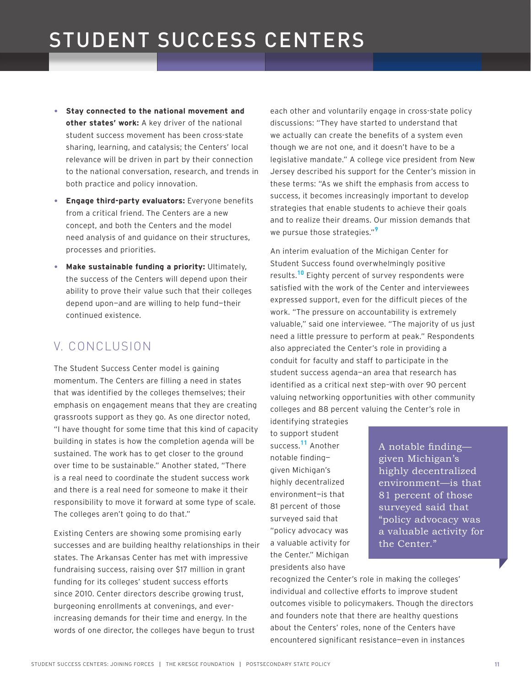- **Stay connected to the national movement and other states' work:** A key driver of the national student success movement has been cross-state sharing, learning, and catalysis; the Centers' local relevance will be driven in part by their connection to the national conversation, research, and trends in both practice and policy innovation.
- **Engage third-party evaluators:** Everyone benefits from a critical friend. The Centers are a new concept, and both the Centers and the model need analysis of and guidance on their structures, processes and priorities.
- **Make sustainable funding a priority:** Ultimately, the success of the Centers will depend upon their ability to prove their value such that their colleges depend upon—and are willing to help fund—their continued existence.

### V. CONCLUSION

The Student Success Center model is gaining momentum. The Centers are filling a need in states that was identified by the colleges themselves; their emphasis on engagement means that they are creating grassroots support as they go. As one director noted, "I have thought for some time that this kind of capacity building in states is how the completion agenda will be sustained. The work has to get closer to the ground over time to be sustainable." Another stated, "There is a real need to coordinate the student success work and there is a real need for someone to make it their responsibility to move it forward at some type of scale. The colleges aren't going to do that."

Existing Centers are showing some promising early successes and are building healthy relationships in their states. The Arkansas Center has met with impressive fundraising success, raising over \$17 million in grant funding for its colleges' student success efforts since 2010. Center directors describe growing trust, burgeoning enrollments at convenings, and everincreasing demands for their time and energy. In the words of one director, the colleges have begun to trust

each other and voluntarily engage in cross-state policy discussions: "They have started to understand that we actually can create the benefits of a system even though we are not one, and it doesn't have to be a legislative mandate." A college vice president from New Jersey described his support for the Center's mission in these terms: "As we shift the emphasis from access to success, it becomes increasingly important to develop strategies that enable students to achieve their goals and to realize their dreams. Our mission demands that we pursue those strategies."**<sup>9</sup>**

An interim evaluation of the Michigan Center for Student Success found overwhelmingly positive results.**10** Eighty percent of survey respondents were satisfied with the work of the Center and interviewees expressed support, even for the difficult pieces of the work. "The pressure on accountability is extremely valuable," said one interviewee. "The majority of us just need a little pressure to perform at peak." Respondents also appreciated the Center's role in providing a conduit for faculty and staff to participate in the student success agenda—an area that research has identified as a critical next step–with over 90 percent valuing networking opportunities with other community colleges and 88 percent valuing the Center's role in

identifying strategies to support student success.**11** Another notable finding given Michigan's highly decentralized environment—is that 81 percent of those surveyed said that "policy advocacy was a valuable activity for the Center." Michigan presidents also have

A notable finding given Michigan's highly decentralized environment—is that 81 percent of those surveyed said that "policy advocacy was a valuable activity for the Center."

recognized the Center's role in making the colleges' individual and collective efforts to improve student outcomes visible to policymakers. Though the directors and founders note that there are healthy questions about the Centers' roles, none of the Centers have encountered significant resistance—even in instances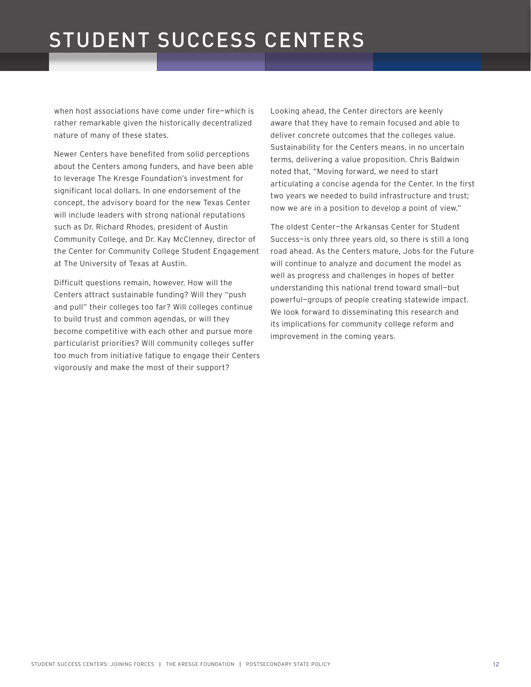when host associations have come under fire—which is rather remarkable given the historically decentralized nature of many of these states.

Newer Centers have benefited from solid perceptions about the Centers among funders, and have been able to leverage The Kresge Foundation's investment for significant local dollars. In one endorsement of the concept, the advisory board for the new Texas Center will include leaders with strong national reputations such as Dr. Richard Rhodes, president of Austin Community College, and Dr. Kay McClenney, director of the Center for Community College Student Engagement at The University of Texas at Austin.

Difficult questions remain, however. How will the Centers attract sustainable funding? Will they "push and pull" their colleges too far? Will colleges continue to build trust and common agendas, or will they become competitive with each other and pursue more particularist priorities? Will community colleges suffer too much from initiative fatigue to engage their Centers vigorously and make the most of their support?

Looking ahead, the Center directors are keenly aware that they have to remain focused and able to deliver concrete outcomes that the colleges value. Sustainability for the Centers means, in no uncertain terms, delivering a value proposition. Chris Baldwin noted that, "Moving forward, we need to start articulating a concise agenda for the Center. In the first two years we needed to build infrastructure and trust; now we are in a position to develop a point of view."

The oldest Center—the Arkansas Center for Student Success—is only three years old, so there is still a long road ahead. As the Centers mature, Jobs for the Future will continue to analyze and document the model as well as progress and challenges in hopes of better understanding this national trend toward small—but powerful—groups of people creating statewide impact. We look forward to disseminating this research and its implications for community college reform and improvement in the coming years.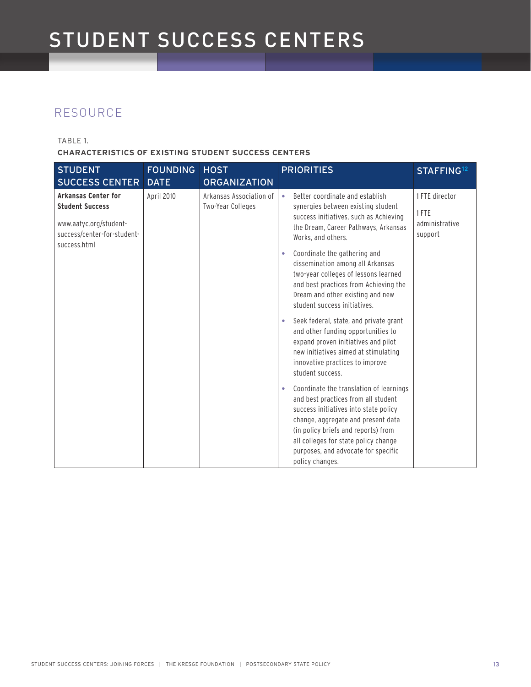### RESOURCE

TABLE 1.

**CHARACTERISTICS OF EXISTING STUDENT SUCCESS CENTERS**

| <b>STUDENT</b><br><b>SUCCESS CENTER</b>                                                                                       | <b>FOUNDING</b><br><b>DATE</b> | <b>HOST</b><br><b>ORGANIZATION</b>           | <b>PRIORITIES</b><br>STAFFING <sup>12</sup>                                                                                                                                                                                                                                                                                                                                                                                                              |
|-------------------------------------------------------------------------------------------------------------------------------|--------------------------------|----------------------------------------------|----------------------------------------------------------------------------------------------------------------------------------------------------------------------------------------------------------------------------------------------------------------------------------------------------------------------------------------------------------------------------------------------------------------------------------------------------------|
| <b>Arkansas Center for</b><br><b>Student Success</b><br>www.aatyc.org/student-<br>success/center-for-student-<br>success.html | April 2010                     | Arkansas Association of<br>Two-Year Colleges | Better coordinate and establish<br>1 FTE director<br>$\bullet$<br>synergies between existing student<br>1 FTE<br>success initiatives, such as Achieving<br>administrative<br>the Dream, Career Pathways, Arkansas<br>support<br>Works, and others.<br>Coordinate the gathering and<br>$\bullet$<br>dissemination among all Arkansas<br>two-year colleges of lessons learned<br>and best practices from Achieving the<br>Dream and other existing and new |
|                                                                                                                               |                                |                                              | student success initiatives.<br>Seek federal, state, and private grant<br>$\bullet$<br>and other funding opportunities to<br>expand proven initiatives and pilot<br>new initiatives aimed at stimulating<br>innovative practices to improve<br>student success.                                                                                                                                                                                          |
|                                                                                                                               |                                |                                              | Coordinate the translation of learnings<br>$\bullet$<br>and best practices from all student<br>success initiatives into state policy<br>change, aggregate and present data<br>(in policy briefs and reports) from<br>all colleges for state policy change<br>purposes, and advocate for specific<br>policy changes.                                                                                                                                      |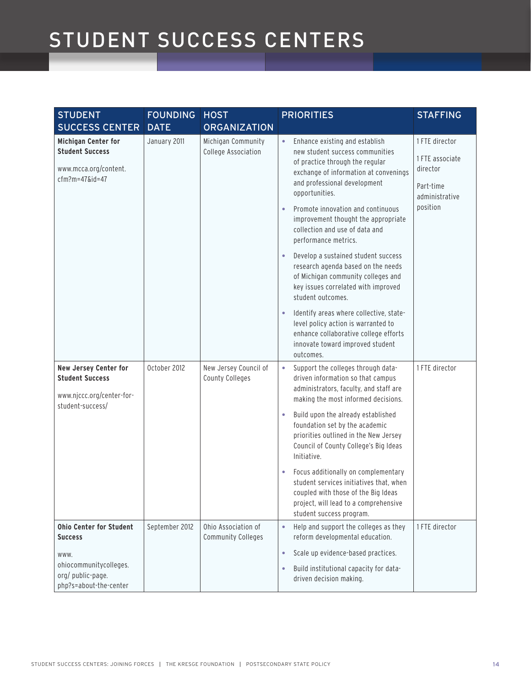| <b>STUDENT</b><br><b>SUCCESS CENTER</b>                                                            | <b>FOUNDING</b><br><b>DATE</b> | <b>HOST</b><br><b>ORGANIZATION</b>               | <b>PRIORITIES</b>                                                                                                                                                                                                                                                                                                                                                                                      | <b>STAFFING</b>                                                                          |
|----------------------------------------------------------------------------------------------------|--------------------------------|--------------------------------------------------|--------------------------------------------------------------------------------------------------------------------------------------------------------------------------------------------------------------------------------------------------------------------------------------------------------------------------------------------------------------------------------------------------------|------------------------------------------------------------------------------------------|
| <b>Michigan Center for</b><br><b>Student Success</b><br>www.mcca.org/content.<br>$cfm?m=47$ &id=47 | January 2011                   | Michigan Community<br>College Association        | Enhance existing and establish<br>$\bullet$<br>new student success communities<br>of practice through the regular<br>exchange of information at convenings<br>and professional development<br>opportunities.<br>Promote innovation and continuous<br>improvement thought the appropriate<br>collection and use of data and<br>performance metrics.<br>Develop a sustained student success<br>$\bullet$ | 1 FTE director<br>1 FTE associate<br>director<br>Part-time<br>administrative<br>position |
|                                                                                                    |                                |                                                  | research agenda based on the needs<br>of Michigan community colleges and<br>key issues correlated with improved<br>student outcomes.                                                                                                                                                                                                                                                                   |                                                                                          |
|                                                                                                    |                                |                                                  | Identify areas where collective, state-<br>$\bullet$<br>level policy action is warranted to<br>enhance collaborative college efforts<br>innovate toward improved student<br>outcomes.                                                                                                                                                                                                                  |                                                                                          |
| New Jersey Center for<br><b>Student Success</b><br>www.njccc.org/center-for-<br>student-success/   | October 2012                   | New Jersey Council of<br>County Colleges         | Support the colleges through data-<br>$\bullet$<br>driven information so that campus<br>administrators, faculty, and staff are<br>making the most informed decisions.                                                                                                                                                                                                                                  | 1 FTE director                                                                           |
|                                                                                                    |                                |                                                  | Build upon the already established<br>$\bullet$<br>foundation set by the academic<br>priorities outlined in the New Jersey<br>Council of County College's Big Ideas<br>Initiative.                                                                                                                                                                                                                     |                                                                                          |
|                                                                                                    |                                |                                                  | Focus additionally on complementary<br>۰<br>student services initiatives that, when<br>coupled with those of the Big Ideas<br>project, will lead to a comprehensive<br>student success program.                                                                                                                                                                                                        |                                                                                          |
| <b>Ohio Center for Student</b><br><b>Success</b>                                                   | September 2012                 | Ohio Association of<br><b>Community Colleges</b> | Help and support the colleges as they<br>$\bullet$<br>reform developmental education.                                                                                                                                                                                                                                                                                                                  | 1 FTE director                                                                           |
| WWW.<br>ohiocommunitycolleges.<br>org/ public-page.<br>php?s=about-the-center                      |                                |                                                  | Scale up evidence-based practices.<br>$\bullet$<br>Build institutional capacity for data-<br>$\bullet$<br>driven decision making.                                                                                                                                                                                                                                                                      |                                                                                          |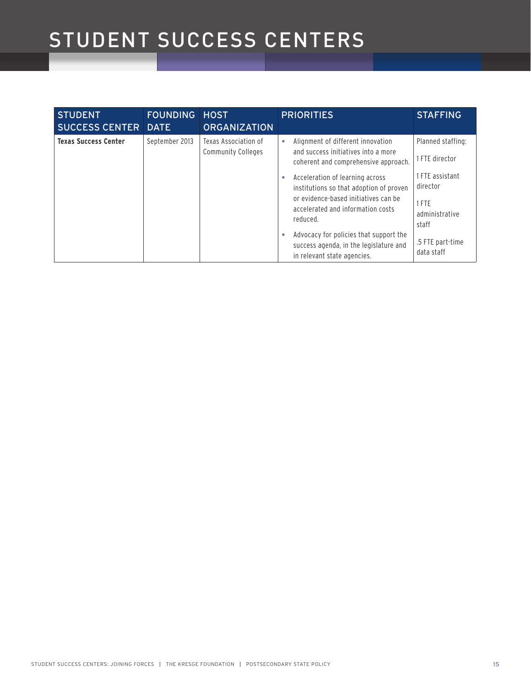| <b>STUDENT</b><br><b>SUCCESS CENTER DATE</b> | <b>FOUNDING</b> | <b>HOST</b><br><b>ORGANIZATION</b>                | <b>PRIORITIES</b>                                                                                                                                                   | <b>STAFFING</b>                                                 |
|----------------------------------------------|-----------------|---------------------------------------------------|---------------------------------------------------------------------------------------------------------------------------------------------------------------------|-----------------------------------------------------------------|
| <b>Texas Success Center</b>                  | September 2013  | Texas Association of<br><b>Community Colleges</b> | Alignment of different innovation<br>۰<br>and success initiatives into a more<br>coherent and comprehensive approach.                                               | Planned staffing:<br>1 FTE director                             |
|                                              |                 |                                                   | Acceleration of learning across<br>institutions so that adoption of proven<br>or evidence-based initiatives can be<br>accelerated and information costs<br>reduced. | 1 FTE assistant<br>director<br>1 FTE<br>administrative<br>staff |
|                                              |                 |                                                   | Advocacy for policies that support the<br>success agenda, in the legislature and<br>in relevant state agencies.                                                     | .5 FTE part-time<br>data staff                                  |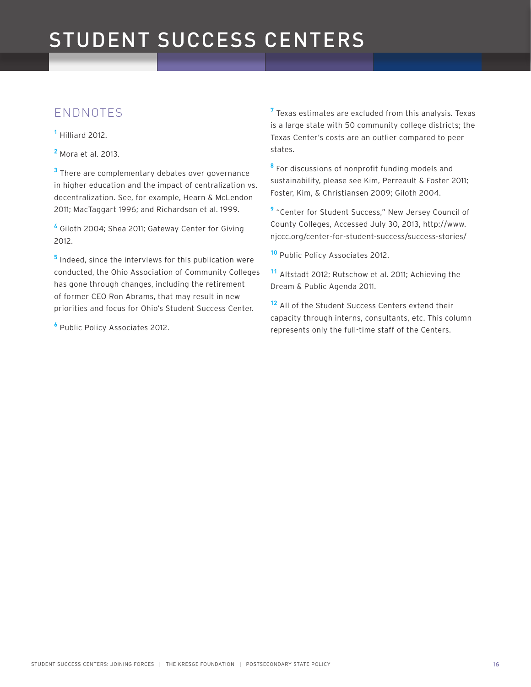### ENDNOTES

**1** Hilliard 2012.

**2** Mora et al. 2013.

**3** There are complementary debates over governance in higher education and the impact of centralization vs. decentralization. See, for example, Hearn & McLendon 2011; MacTaggart 1996; and Richardson et al. 1999.

**4** Giloth 2004; Shea 2011; Gateway Center for Giving 2012.

**5** Indeed, since the interviews for this publication were conducted, the Ohio Association of Community Colleges has gone through changes, including the retirement of former CEO Ron Abrams, that may result in new priorities and focus for Ohio's Student Success Center.

**6** Public Policy Associates 2012.

**7** Texas estimates are excluded from this analysis. Texas is a large state with 50 community college districts; the Texas Center's costs are an outlier compared to peer states.

**8** For discussions of nonprofit funding models and sustainability, please see Kim, Perreault & Foster 2011; Foster, Kim, & Christiansen 2009; Giloth 2004.

**9** "Center for Student Success," New Jersey Council of County Colleges, Accessed July 30, 2013, http://www. njccc.org/center-for-student-success/success-stories/

**<sup>10</sup>** Public Policy Associates 2012.

**<sup>11</sup>** Altstadt 2012; Rutschow et al. 2011; Achieving the Dream & Public Agenda 2011.

**<sup>12</sup>** All of the Student Success Centers extend their capacity through interns, consultants, etc. This column represents only the full-time staff of the Centers.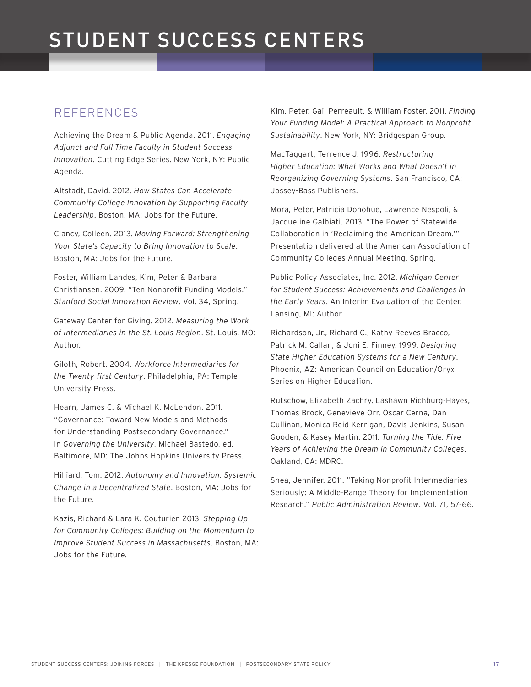### REFERENCES

Achieving the Dream & Public Agenda. 2011. *Engaging Adjunct and Full-Time Faculty in Student Success Innovation*. Cutting Edge Series. New York, NY: Public Agenda.

Altstadt, David. 2012. *How States Can Accelerate Community College Innovation by Supporting Faculty Leadership*. Boston, MA: Jobs for the Future.

Clancy, Colleen. 2013. *Moving Forward: Strengthening Your State's Capacity to Bring Innovation to Scale*. Boston, MA: Jobs for the Future.

Foster, William Landes, Kim, Peter & Barbara Christiansen. 2009. "Ten Nonprofit Funding Models." *Stanford Social Innovation Review*. Vol. 34, Spring.

Gateway Center for Giving. 2012. *Measuring the Work of Intermediaries in the St. Louis Region*. St. Louis, MO: Author.

Giloth, Robert. 2004. *Workforce Intermediaries for the Twenty-first Century*. Philadelphia, PA: Temple University Press.

Hearn, James C. & Michael K. McLendon. 2011. "Governance: Toward New Models and Methods for Understanding Postsecondary Governance." In *Governing the University*, Michael Bastedo, ed. Baltimore, MD: The Johns Hopkins University Press.

Hilliard, Tom. 2012. *Autonomy and Innovation: Systemic Change in a Decentralized State*. Boston, MA: Jobs for the Future.

Kazis, Richard & Lara K. Couturier. 2013. *Stepping Up for Community Colleges: Building on the Momentum to Improve Student Success in Massachusetts*. Boston, MA: Jobs for the Future.

Kim, Peter, Gail Perreault, & William Foster. 2011. *Finding Your Funding Model: A Practical Approach to Nonprofit Sustainability*. New York, NY: Bridgespan Group.

MacTaggart, Terrence J. 1996. *Restructuring Higher Education: What Works and What Doesn't in Reorganizing Governing Systems*. San Francisco, CA: Jossey-Bass Publishers.

Mora, Peter, Patricia Donohue, Lawrence Nespoli, & Jacqueline Galbiati. 2013. "The Power of Statewide Collaboration in 'Reclaiming the American Dream.'" Presentation delivered at the American Association of Community Colleges Annual Meeting. Spring.

Public Policy Associates, Inc. 2012. *Michigan Center for Student Success: Achievements and Challenges in the Early Years*. An Interim Evaluation of the Center. Lansing, MI: Author.

Richardson, Jr., Richard C., Kathy Reeves Bracco, Patrick M. Callan, & Joni E. Finney. 1999. *Designing State Higher Education Systems for a New Century*. Phoenix, AZ: American Council on Education/Oryx Series on Higher Education.

Rutschow, Elizabeth Zachry, Lashawn Richburg-Hayes, Thomas Brock, Genevieve Orr, Oscar Cerna, Dan Cullinan, Monica Reid Kerrigan, Davis Jenkins, Susan Gooden, & Kasey Martin. 2011. *Turning the Tide: Five Years of Achieving the Dream in Community Colleges*. Oakland, CA: MDRC.

Shea, Jennifer. 2011. "Taking Nonprofit Intermediaries Seriously: A Middle-Range Theory for Implementation Research." *Public Administration Review*. Vol. 71, 57-66.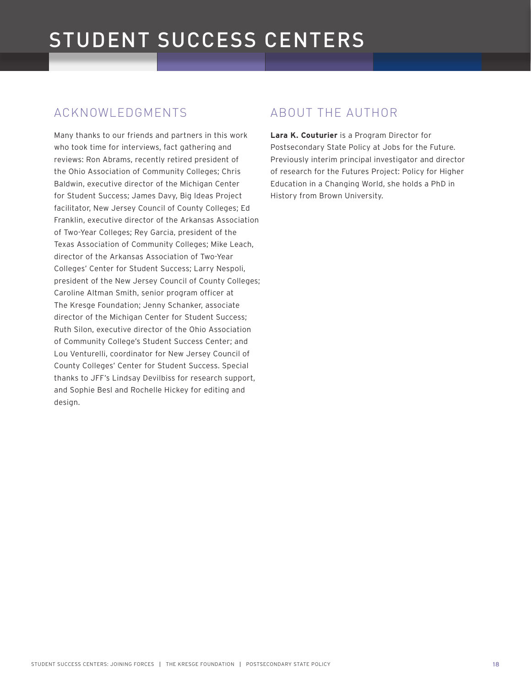### ACKNOWLEDGMENTS

Many thanks to our friends and partners in this work who took time for interviews, fact gathering and reviews: Ron Abrams, recently retired president of the Ohio Association of Community Colleges; Chris Baldwin, executive director of the Michigan Center for Student Success; James Davy, Big Ideas Project facilitator, New Jersey Council of County Colleges; Ed Franklin, executive director of the Arkansas Association of Two-Year Colleges; Rey Garcia, president of the Texas Association of Community Colleges; Mike Leach, director of the Arkansas Association of Two-Year Colleges' Center for Student Success; Larry Nespoli, president of the New Jersey Council of County Colleges; Caroline Altman Smith, senior program officer at The Kresge Foundation; Jenny Schanker, associate director of the Michigan Center for Student Success; Ruth Silon, executive director of the Ohio Association of Community College's Student Success Center; and Lou Venturelli, coordinator for New Jersey Council of County Colleges' Center for Student Success. Special thanks to JFF's Lindsay Devilbiss for research support, and Sophie Besl and Rochelle Hickey for editing and design.

### ABOUT THE AUTHOR

**Lara K. Couturier** is a Program Director for Postsecondary State Policy at Jobs for the Future. Previously interim principal investigator and director of research for the Futures Project: Policy for Higher Education in a Changing World, she holds a PhD in History from Brown University.